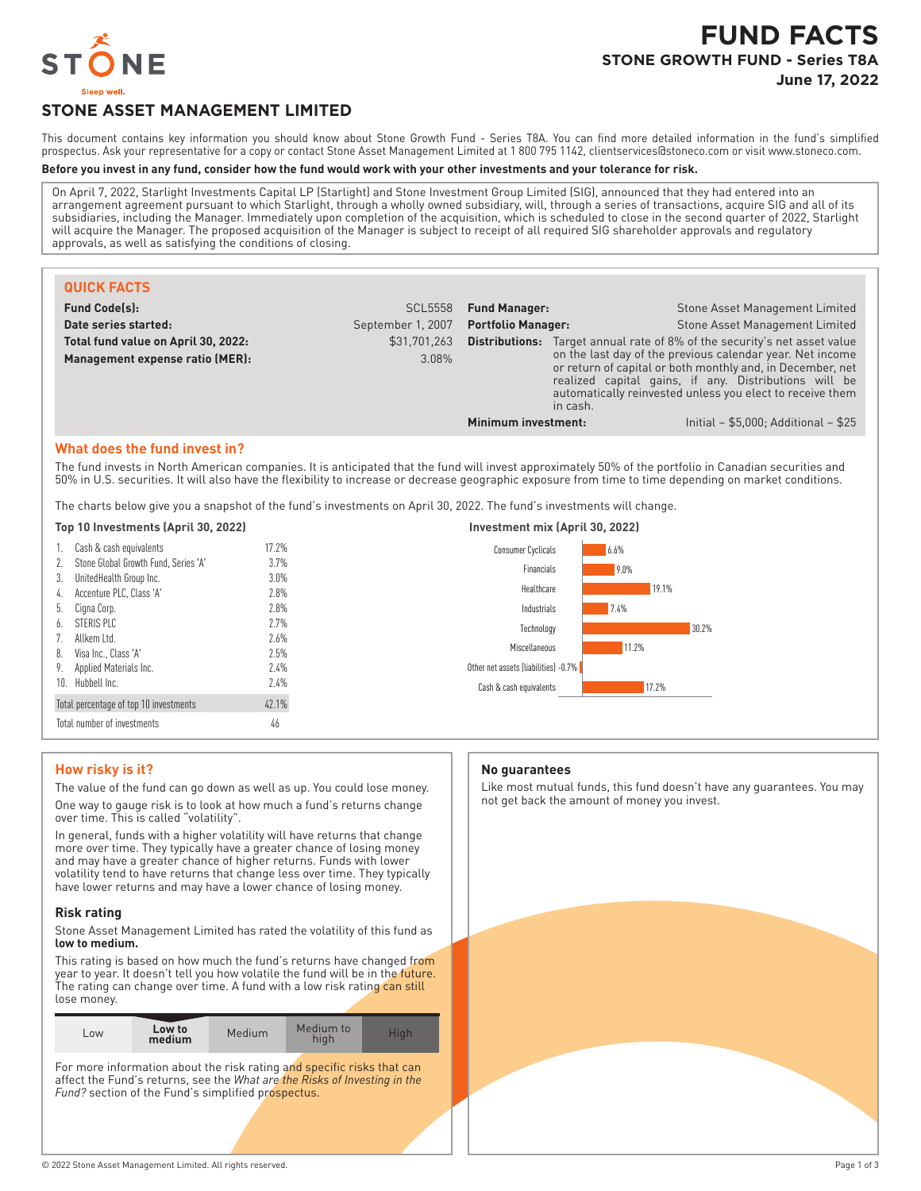

# **STONE ASSET MANAGEMENT LIMITED**

This document contains key information you should know about Stone Growth Fund - Series T8A. You can find more detailed information in the fund's simplified prospectus. Ask your representative for a copy or contact Stone Asset Management Limited at 1 800 795 1142, clientservices@stoneco.com or visit www.stoneco.com.

#### **Before you invest in any fund, consider how the fund would work with your other investments and your tolerance for risk.**

On April 7, 2022, Starlight Investments Capital LP (Starlight) and Stone Investment Group Limited (SIG), announced that they had entered into an arrangement agreement pursuant to which Starlight, through a wholly owned subsidiary, will, through a series of transactions, acquire SIG and all of its subsidiaries, including the Manager. Immediately upon completion of the acquisition, which is scheduled to close in the second quarter of 2022, Starlight will acquire the Manager. The proposed acquisition of the Manager is subject to receipt of all required SIG shareholder approvals and regulatory approvals, as well as satisfying the conditions of closing.

| <b>QUICK FACTS</b>                                                     |                       |                           |          |                                                                                                                                                                                                                                                                                                                                   |
|------------------------------------------------------------------------|-----------------------|---------------------------|----------|-----------------------------------------------------------------------------------------------------------------------------------------------------------------------------------------------------------------------------------------------------------------------------------------------------------------------------------|
| <b>Fund Code(s):</b>                                                   | <b>SCL5558</b>        | <b>Fund Manager:</b>      |          | Stone Asset Management Limited                                                                                                                                                                                                                                                                                                    |
| Date series started:                                                   | September 1, 2007     | <b>Portfolio Manager:</b> |          | <b>Stone Asset Management Limited</b>                                                                                                                                                                                                                                                                                             |
| Total fund value on April 30, 2022:<br>Management expense ratio (MER): | \$31,701,263<br>3.08% |                           | in cash. | <b>Distributions:</b> Target annual rate of 8% of the security's net asset value<br>on the last day of the previous calendar year. Net income<br>or return of capital or both monthly and, in December, net<br>realized capital gains, if any. Distributions will be<br>automatically reinvested unless you elect to receive them |
|                                                                        |                       | Minimum investment:       |          | Initial $-$ \$5,000; Additional $-$ \$25                                                                                                                                                                                                                                                                                          |

#### **What does the fund invest in?**

The fund invests in North American companies. It is anticipated that the fund will invest approximately 50% of the portfolio in Canadian securities and 50% in U.S. securities. It will also have the flexibility to increase or decrease geographic exposure from time to time depending on market conditions.

The charts below give you a snapshot of the fund's investments on April 30, 2022. The fund's investments will change.

|  | Top 10 Investments (April 30, 2022) |  |  |
|--|-------------------------------------|--|--|
|--|-------------------------------------|--|--|

| 1.                                              | Cash & cash equivalents              | 17.2% |
|-------------------------------------------------|--------------------------------------|-------|
| 2.                                              | Stone Global Growth Fund, Series 'A' | 3.7%  |
| 3.                                              | UnitedHealth Group Inc.              | 3.0%  |
| 4.                                              | Accenture PLC, Class 'A'             | 7.8%  |
| 5.                                              | Cigna Corp.                          | 7.8%  |
| $\mathfrak{h}.$                                 | STERIS PIC                           | 7.7%  |
| 7.                                              | Allkem I td.                         | 7.6%  |
| 8.                                              | Visa Inc., Class 'A'                 | 7.5%  |
| 9.                                              | Applied Materials Inc.               | 7.4%  |
| 10.                                             | Hubbell Inc.                         | 7.4%  |
| 42.1%<br>Total percentage of top 10 investments |                                      |       |
| Total number of investments<br>46               |                                      |       |



# **How risky is it?**

The value of the fund can go down as well as up. You could lose money. One way to gauge risk is to look at how much a fund's returns change over time. This is called "volatility".

In general, funds with a higher volatility will have returns that change more over time. They typically have a greater chance of losing money and may have a greater chance of higher returns. Funds with lower volatility tend to have returns that change less over time. They typically have lower returns and may have a lower chance of losing money.

#### **Risk rating**

Stone Asset Management Limited has rated the volatility of this fund as **low to medium.**

This rating is based on how much the fund's returns have changed from year to year. It doesn't tell you how volatile the fund will be in the future. The rating can change over time. A fund with a low risk rating can still lose money.

For more information about the risk rating and specific risks that can affect the Fund's returns, see the *What are the Risks of Investing in the* Fund? section of the Fund's simplified prospectus.

#### **No guarantees**

Like most mutual funds, this fund doesn't have any guarantees. You may not get back the amount of money you invest.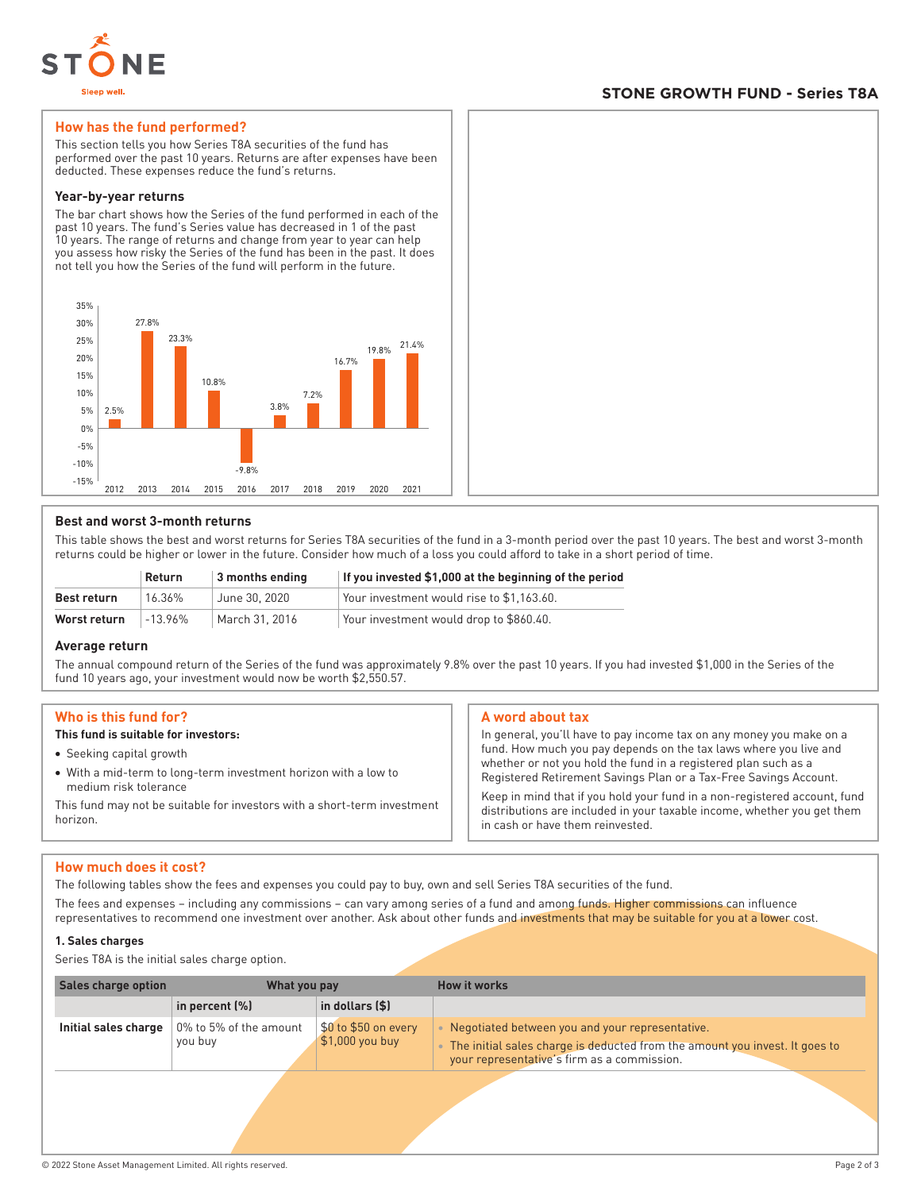

# **STONE GROWTH FUND - Series T8A**

# **How has the fund performed?**

This section tells you how Series T8A securities of the fund has performed over the past 10 years. Returns are after expenses have been deducted. These expenses reduce the fund's returns.

#### **Year-by-year returns**

The bar chart shows how the Series of the fund performed in each of the past 10 years. The fund's Series value has decreased in 1 of the past 10 years. The range of returns and change from year to year can help you assess how risky the Series of the fund has been in the past. It does not tell you how the Series of the fund will perform in the future.



# **Best and worst 3-month returns**

This table shows the best and worst returns for Series T8A securities of the fund in a 3-month period over the past 10 years. The best and worst 3-month returns could be higher or lower in the future. Consider how much of a loss you could afford to take in a short period of time.

|                    | Return     | 3 months ending | If you invested \$1,000 at the beginning of the period |
|--------------------|------------|-----------------|--------------------------------------------------------|
| <b>Best return</b> | 16.36%     | June 30, 2020   | Your investment would rise to \$1.163.60.              |
| Worst return       | $-13.96\%$ | March 31, 2016  | Your investment would drop to \$860.40.                |

# **Average return**

The annual compound return of the Series of the fund was approximately 9.8% over the past 10 years. If you had invested \$1,000 in the Series of the fund 10 years ago, your investment would now be worth \$2,550.57.

# **Who is this fund for?**

# **This fund is suitable for investors:**

- Seeking capital growth
- With a mid-term to long-term investment horizon with a low to medium risk tolerance

This fund may not be suitable for investors with a short-term investment horizon.

# **A word about tax**

In general, you'll have to pay income tax on any money you make on a fund. How much you pay depends on the tax laws where you live and whether or not you hold the fund in a registered plan such as a Registered Retirement Savings Plan or a Tax-Free Savings Account.

Keep in mind that if you hold your fund in a non-registered account, fund distributions are included in your taxable income, whether you get them in cash or have them reinvested.

# **How much does it cost?**

The following tables show the fees and expenses you could pay to buy, own and sell Series T8A securities of the fund.

The fees and expenses – including any commissions – can vary among series of a fund and among funds. Higher commissions can influence representatives to recommend one investment over another. Ask about other funds and investments that may be suitable for you at a lower cost.

#### **1. Sales charges**

Series T8A is the initial sales charge option.

| <b>Sales charge option</b> | What you pay                      |                                          | <b>How it works</b>                                                                                                                                                               |
|----------------------------|-----------------------------------|------------------------------------------|-----------------------------------------------------------------------------------------------------------------------------------------------------------------------------------|
|                            | in percent $(\%)$                 | in dollars (\$)                          |                                                                                                                                                                                   |
| Initial sales charge       | 0% to 5% of the amount<br>you buy | \$0 to \$50 on every<br>$$1,000$ you buy | • Negotiated between you and your representative.<br>• The initial sales charge is deducted from the amount you invest. It goes to<br>your representative's firm as a commission. |
|                            |                                   |                                          |                                                                                                                                                                                   |